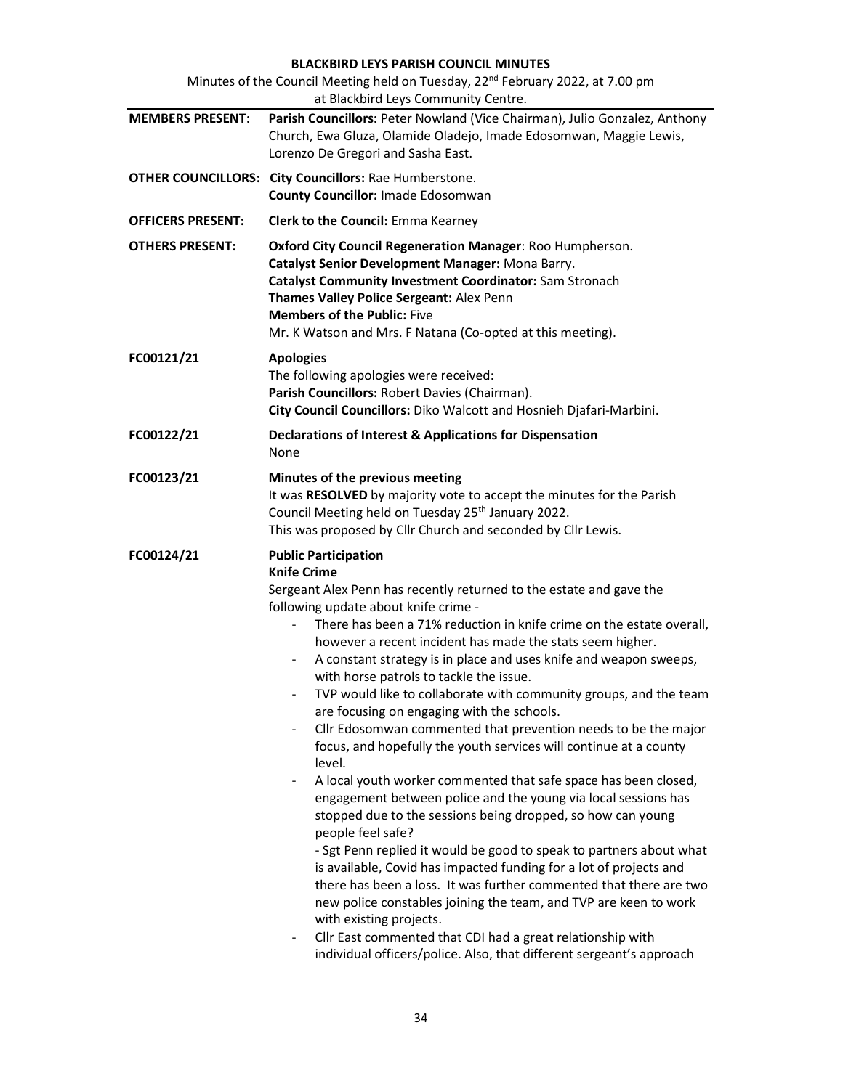# BLACKBIRD LEYS PARISH COUNCIL MINUTES

| Minutes of the Council Meeting held on Tuesday, 22 <sup>nd</sup> February 2022, at 7.00 pm<br>at Blackbird Leys Community Centre. |                                                                                                                                                                                                                                                                                                                                                                                                                                                                                                                                                                                                                                                                                                                                                                                                                                                                                                                                                                                                                                                                                                                                                                                                                                                                                                                                                                                                                               |  |  |  |
|-----------------------------------------------------------------------------------------------------------------------------------|-------------------------------------------------------------------------------------------------------------------------------------------------------------------------------------------------------------------------------------------------------------------------------------------------------------------------------------------------------------------------------------------------------------------------------------------------------------------------------------------------------------------------------------------------------------------------------------------------------------------------------------------------------------------------------------------------------------------------------------------------------------------------------------------------------------------------------------------------------------------------------------------------------------------------------------------------------------------------------------------------------------------------------------------------------------------------------------------------------------------------------------------------------------------------------------------------------------------------------------------------------------------------------------------------------------------------------------------------------------------------------------------------------------------------------|--|--|--|
| <b>MEMBERS PRESENT:</b>                                                                                                           | Parish Councillors: Peter Nowland (Vice Chairman), Julio Gonzalez, Anthony<br>Church, Ewa Gluza, Olamide Oladejo, Imade Edosomwan, Maggie Lewis,<br>Lorenzo De Gregori and Sasha East.                                                                                                                                                                                                                                                                                                                                                                                                                                                                                                                                                                                                                                                                                                                                                                                                                                                                                                                                                                                                                                                                                                                                                                                                                                        |  |  |  |
|                                                                                                                                   | <b>OTHER COUNCILLORS: City Councillors: Rae Humberstone.</b><br><b>County Councillor: Imade Edosomwan</b>                                                                                                                                                                                                                                                                                                                                                                                                                                                                                                                                                                                                                                                                                                                                                                                                                                                                                                                                                                                                                                                                                                                                                                                                                                                                                                                     |  |  |  |
| <b>OFFICERS PRESENT:</b>                                                                                                          | <b>Clerk to the Council: Emma Kearney</b>                                                                                                                                                                                                                                                                                                                                                                                                                                                                                                                                                                                                                                                                                                                                                                                                                                                                                                                                                                                                                                                                                                                                                                                                                                                                                                                                                                                     |  |  |  |
| <b>OTHERS PRESENT:</b>                                                                                                            | Oxford City Council Regeneration Manager: Roo Humpherson.<br>Catalyst Senior Development Manager: Mona Barry.<br>Catalyst Community Investment Coordinator: Sam Stronach<br>Thames Valley Police Sergeant: Alex Penn<br><b>Members of the Public: Five</b><br>Mr. K Watson and Mrs. F Natana (Co-opted at this meeting).                                                                                                                                                                                                                                                                                                                                                                                                                                                                                                                                                                                                                                                                                                                                                                                                                                                                                                                                                                                                                                                                                                      |  |  |  |
| FC00121/21                                                                                                                        | <b>Apologies</b><br>The following apologies were received:<br>Parish Councillors: Robert Davies (Chairman).<br>City Council Councillors: Diko Walcott and Hosnieh Djafari-Marbini.                                                                                                                                                                                                                                                                                                                                                                                                                                                                                                                                                                                                                                                                                                                                                                                                                                                                                                                                                                                                                                                                                                                                                                                                                                            |  |  |  |
| FC00122/21                                                                                                                        | Declarations of Interest & Applications for Dispensation<br>None                                                                                                                                                                                                                                                                                                                                                                                                                                                                                                                                                                                                                                                                                                                                                                                                                                                                                                                                                                                                                                                                                                                                                                                                                                                                                                                                                              |  |  |  |
| FC00123/21                                                                                                                        | Minutes of the previous meeting<br>It was RESOLVED by majority vote to accept the minutes for the Parish<br>Council Meeting held on Tuesday 25 <sup>th</sup> January 2022.<br>This was proposed by Cllr Church and seconded by Cllr Lewis.                                                                                                                                                                                                                                                                                                                                                                                                                                                                                                                                                                                                                                                                                                                                                                                                                                                                                                                                                                                                                                                                                                                                                                                    |  |  |  |
| FC00124/21                                                                                                                        | <b>Public Participation</b><br><b>Knife Crime</b><br>Sergeant Alex Penn has recently returned to the estate and gave the<br>following update about knife crime -<br>There has been a 71% reduction in knife crime on the estate overall,<br>however a recent incident has made the stats seem higher.<br>A constant strategy is in place and uses knife and weapon sweeps,<br>with horse patrols to tackle the issue.<br>TVP would like to collaborate with community groups, and the team<br>are focusing on engaging with the schools.<br>Cllr Edosomwan commented that prevention needs to be the major<br>$\blacksquare$<br>focus, and hopefully the youth services will continue at a county<br>level.<br>A local youth worker commented that safe space has been closed,<br>۰<br>engagement between police and the young via local sessions has<br>stopped due to the sessions being dropped, so how can young<br>people feel safe?<br>- Sgt Penn replied it would be good to speak to partners about what<br>is available, Covid has impacted funding for a lot of projects and<br>there has been a loss. It was further commented that there are two<br>new police constables joining the team, and TVP are keen to work<br>with existing projects.<br>Cllr East commented that CDI had a great relationship with<br>$\overline{\phantom{a}}$<br>individual officers/police. Also, that different sergeant's approach |  |  |  |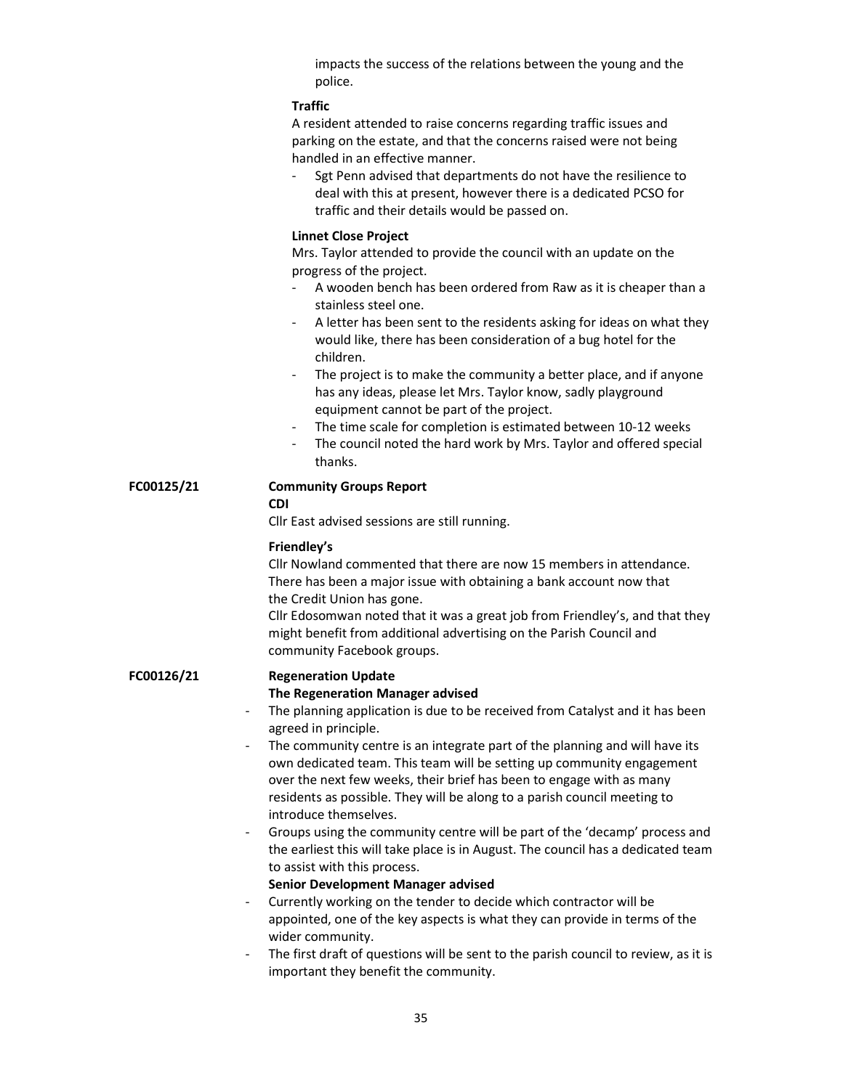impacts the success of the relations between the young and the police.

## **Traffic**

A resident attended to raise concerns regarding traffic issues and parking on the estate, and that the concerns raised were not being handled in an effective manner.

Sgt Penn advised that departments do not have the resilience to deal with this at present, however there is a dedicated PCSO for traffic and their details would be passed on.

#### Linnet Close Project

Mrs. Taylor attended to provide the council with an update on the progress of the project.

- A wooden bench has been ordered from Raw as it is cheaper than a stainless steel one.
- A letter has been sent to the residents asking for ideas on what they would like, there has been consideration of a bug hotel for the children.
- The project is to make the community a better place, and if anyone has any ideas, please let Mrs. Taylor know, sadly playground equipment cannot be part of the project.
- The time scale for completion is estimated between 10-12 weeks
- The council noted the hard work by Mrs. Taylor and offered special thanks.

#### FC00125/21 Community Groups Report

#### CDI

Cllr East advised sessions are still running.

## Friendley's

 Cllr Nowland commented that there are now 15 members in attendance. There has been a major issue with obtaining a bank account now that the Credit Union has gone.

 Cllr Edosomwan noted that it was a great job from Friendley's, and that they might benefit from additional advertising on the Parish Council and community Facebook groups.

#### FC00126/21 Regeneration Update

# The Regeneration Manager advised

- The planning application is due to be received from Catalyst and it has been agreed in principle.
- The community centre is an integrate part of the planning and will have its own dedicated team. This team will be setting up community engagement over the next few weeks, their brief has been to engage with as many residents as possible. They will be along to a parish council meeting to introduce themselves.
- Groups using the community centre will be part of the 'decamp' process and the earliest this will take place is in August. The council has a dedicated team to assist with this process.

## Senior Development Manager advised

- Currently working on the tender to decide which contractor will be appointed, one of the key aspects is what they can provide in terms of the wider community.
- The first draft of questions will be sent to the parish council to review, as it is important they benefit the community.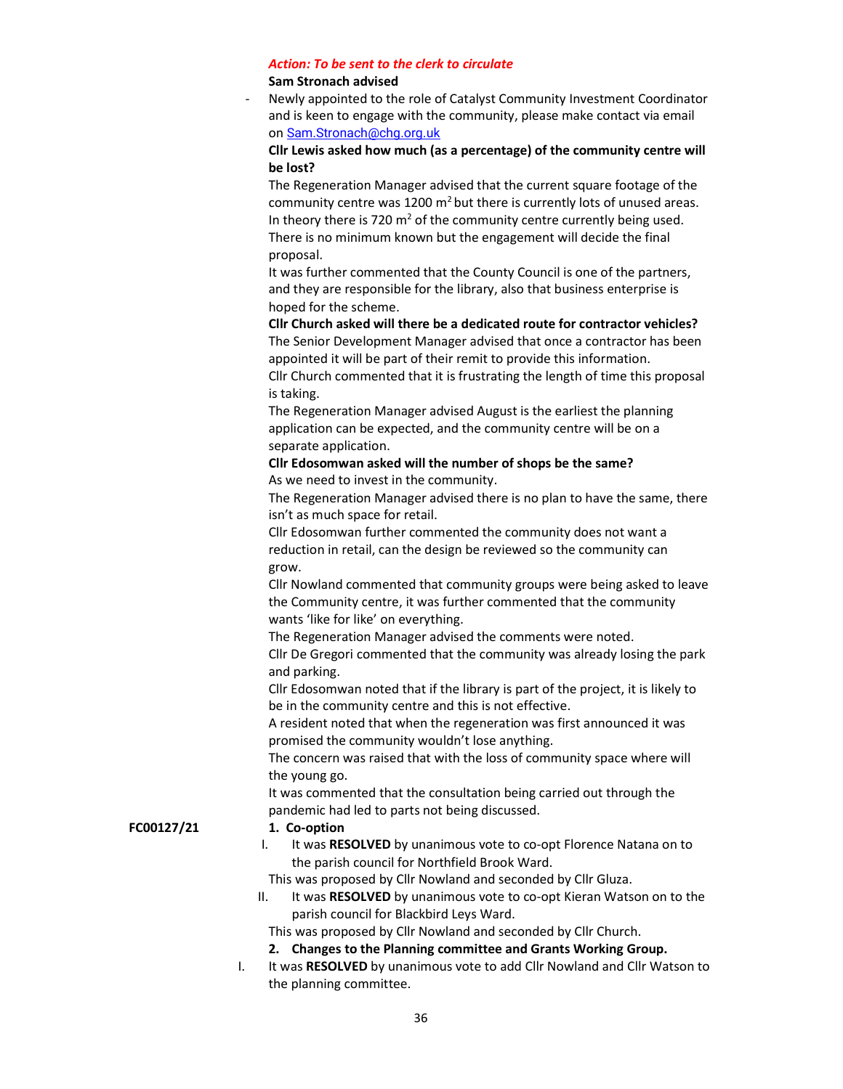# Action: To be sent to the clerk to circulate

# Sam Stronach advised

Newly appointed to the role of Catalyst Community Investment Coordinator and is keen to engage with the community, please make contact via email on Sam.Stronach@chg.org.uk

# Cllr Lewis asked how much (as a percentage) of the community centre will be lost?

 The Regeneration Manager advised that the current square footage of the community centre was 1200  $m<sup>2</sup>$  but there is currently lots of unused areas. In theory there is 720  $m^2$  of the community centre currently being used. There is no minimum known but the engagement will decide the final proposal.

> It was further commented that the County Council is one of the partners, and they are responsible for the library, also that business enterprise is hoped for the scheme.

 Cllr Church asked will there be a dedicated route for contractor vehicles? The Senior Development Manager advised that once a contractor has been appointed it will be part of their remit to provide this information. Cllr Church commented that it is frustrating the length of time this proposal is taking.

 The Regeneration Manager advised August is the earliest the planning application can be expected, and the community centre will be on a separate application.

# Cllr Edosomwan asked will the number of shops be the same? As we need to invest in the community.

 The Regeneration Manager advised there is no plan to have the same, there isn't as much space for retail.

 Cllr Edosomwan further commented the community does not want a reduction in retail, can the design be reviewed so the community can grow.

 Cllr Nowland commented that community groups were being asked to leave the Community centre, it was further commented that the community wants 'like for like' on everything.

 The Regeneration Manager advised the comments were noted. Cllr De Gregori commented that the community was already losing the park and parking.

 Cllr Edosomwan noted that if the library is part of the project, it is likely to be in the community centre and this is not effective.

 A resident noted that when the regeneration was first announced it was promised the community wouldn't lose anything.

 The concern was raised that with the loss of community space where will the young go.

 It was commented that the consultation being carried out through the pandemic had led to parts not being discussed.

# FC00127/21 1. Co-option

- I. It was RESOLVED by unanimous vote to co-opt Florence Natana on to the parish council for Northfield Brook Ward.
- This was proposed by Cllr Nowland and seconded by Cllr Gluza.
- II. It was RESOLVED by unanimous vote to co-opt Kieran Watson on to the parish council for Blackbird Leys Ward.

This was proposed by Cllr Nowland and seconded by Cllr Church.

# 2. Changes to the Planning committee and Grants Working Group.

I. It was RESOLVED by unanimous vote to add Cllr Nowland and Cllr Watson to the planning committee.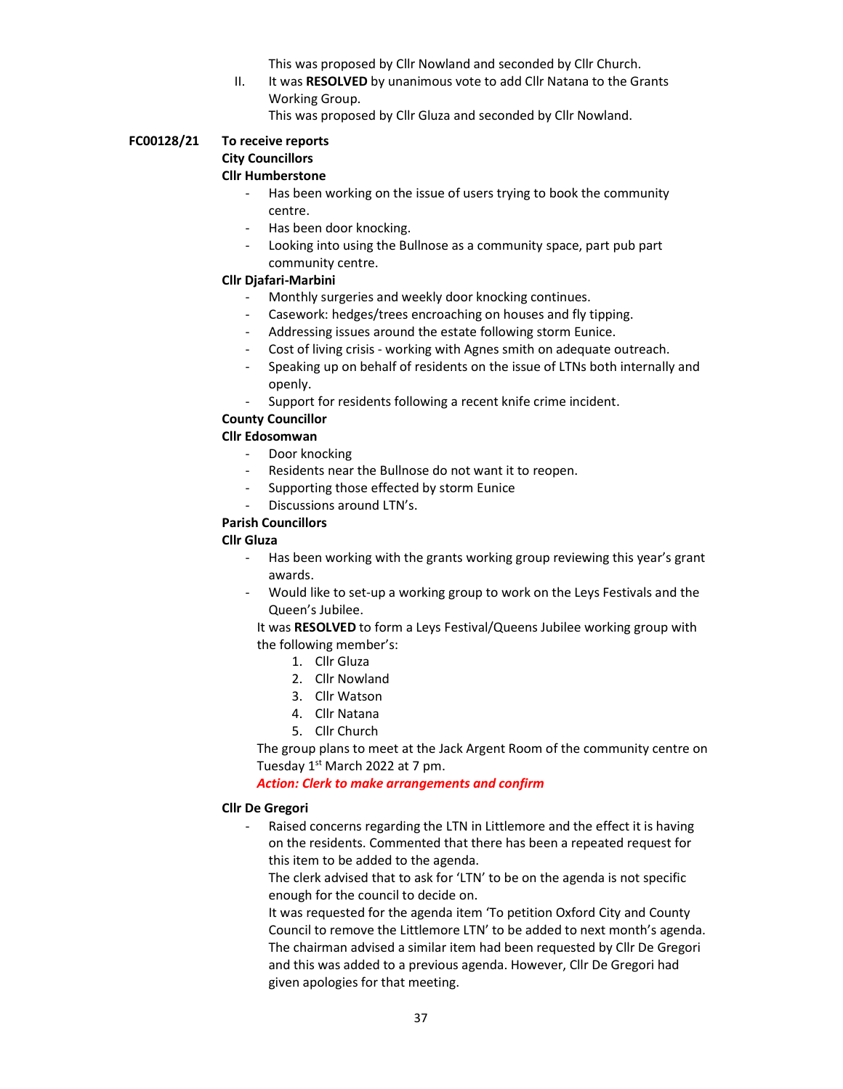This was proposed by Cllr Nowland and seconded by Cllr Church.

II. It was RESOLVED by unanimous vote to add Cllr Natana to the Grants Working Group.

This was proposed by Cllr Gluza and seconded by Cllr Nowland.

### FC00128/21 To receive reports City Councillors Cllr Humberstone

- Has been working on the issue of users trying to book the community centre.
- Has been door knocking.
- Looking into using the Bullnose as a community space, part pub part community centre.

# Cllr Djafari-Marbini

- Monthly surgeries and weekly door knocking continues.
- Casework: hedges/trees encroaching on houses and fly tipping.
- Addressing issues around the estate following storm Eunice.
- Cost of living crisis working with Agnes smith on adequate outreach.
- Speaking up on behalf of residents on the issue of LTNs both internally and openly.
- Support for residents following a recent knife crime incident.

# County Councillor

# Cllr Edosomwan

- Door knocking
- Residents near the Bullnose do not want it to reopen.
- Supporting those effected by storm Eunice
- Discussions around LTN's.

## Parish Councillors

## Cllr Gluza

- Has been working with the grants working group reviewing this year's grant awards.
- Would like to set-up a working group to work on the Leys Festivals and the Queen's Jubilee.

It was RESOLVED to form a Leys Festival/Queens Jubilee working group with the following member's:

- 1. Cllr Gluza
- 2. Cllr Nowland
- 3. Cllr Watson
- 4. Cllr Natana
- 5. Cllr Church

The group plans to meet at the Jack Argent Room of the community centre on Tuesday  $1<sup>st</sup>$  March 2022 at 7 pm.

Action: Clerk to make arrangements and confirm

## Cllr De Gregori

Raised concerns regarding the LTN in Littlemore and the effect it is having on the residents. Commented that there has been a repeated request for this item to be added to the agenda.

The clerk advised that to ask for 'LTN' to be on the agenda is not specific enough for the council to decide on.

It was requested for the agenda item 'To petition Oxford City and County Council to remove the Littlemore LTN' to be added to next month's agenda. The chairman advised a similar item had been requested by Cllr De Gregori and this was added to a previous agenda. However, Cllr De Gregori had given apologies for that meeting.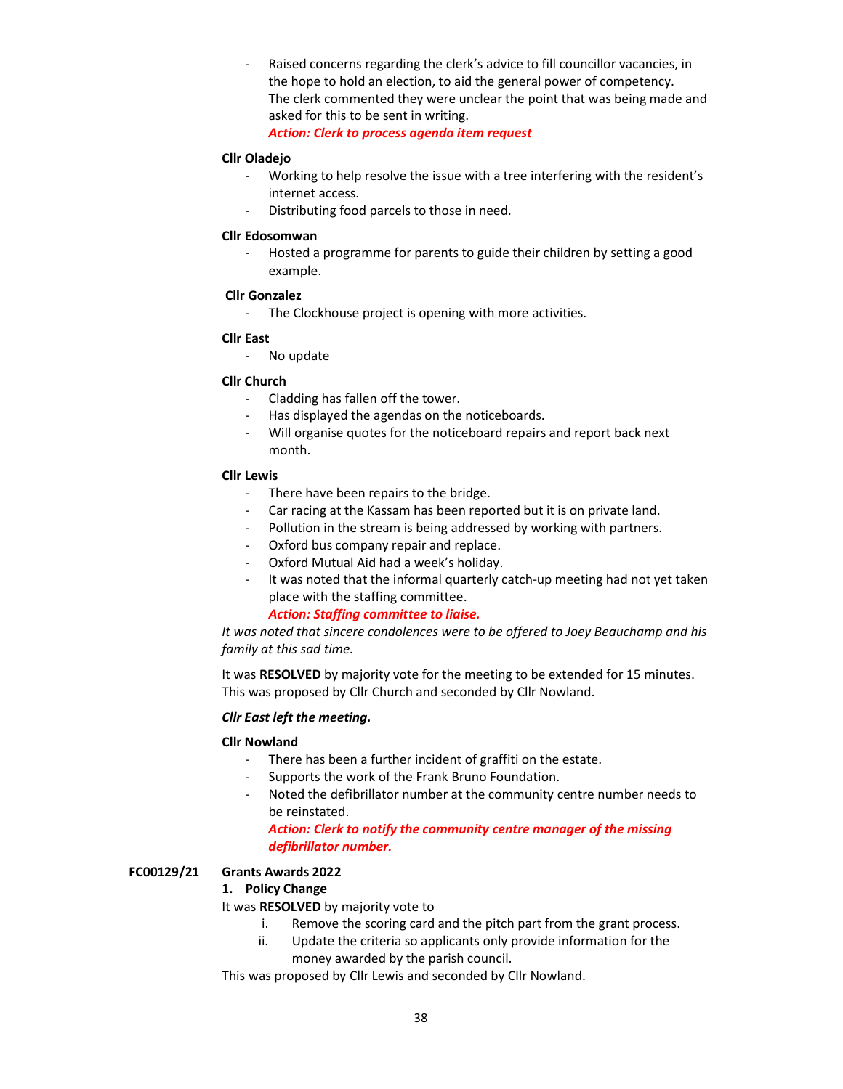Raised concerns regarding the clerk's advice to fill councillor vacancies, in the hope to hold an election, to aid the general power of competency. The clerk commented they were unclear the point that was being made and asked for this to be sent in writing.

Action: Clerk to process agenda item request

## Cllr Oladejo

- Working to help resolve the issue with a tree interfering with the resident's internet access.
- Distributing food parcels to those in need.

#### Cllr Edosomwan

- Hosted a programme for parents to guide their children by setting a good example.

#### Cllr Gonzalez

- The Clockhouse project is opening with more activities.

#### Cllr East

- No update

## Cllr Church

- Cladding has fallen off the tower.
- Has displayed the agendas on the noticeboards.
- Will organise quotes for the noticeboard repairs and report back next month.

#### Cllr Lewis

- There have been repairs to the bridge.
- Car racing at the Kassam has been reported but it is on private land.
- Pollution in the stream is being addressed by working with partners.
- Oxford bus company repair and replace.
- Oxford Mutual Aid had a week's holiday.
- It was noted that the informal quarterly catch-up meeting had not yet taken place with the staffing committee.

## Action: Staffing committee to liaise.

It was noted that sincere condolences were to be offered to Joey Beauchamp and his family at this sad time.

It was RESOLVED by majority vote for the meeting to be extended for 15 minutes. This was proposed by Cllr Church and seconded by Cllr Nowland.

# Cllr East left the meeting.

## Cllr Nowland

- There has been a further incident of graffiti on the estate.
- Supports the work of the Frank Bruno Foundation.
- Noted the defibrillator number at the community centre number needs to be reinstated.

## Action: Clerk to notify the community centre manager of the missing defibrillator number.

## FC00129/21 Grants Awards 2022

## 1. Policy Change

It was RESOLVED by majority vote to

- i. Remove the scoring card and the pitch part from the grant process.
- ii. Update the criteria so applicants only provide information for the money awarded by the parish council.

This was proposed by Cllr Lewis and seconded by Cllr Nowland.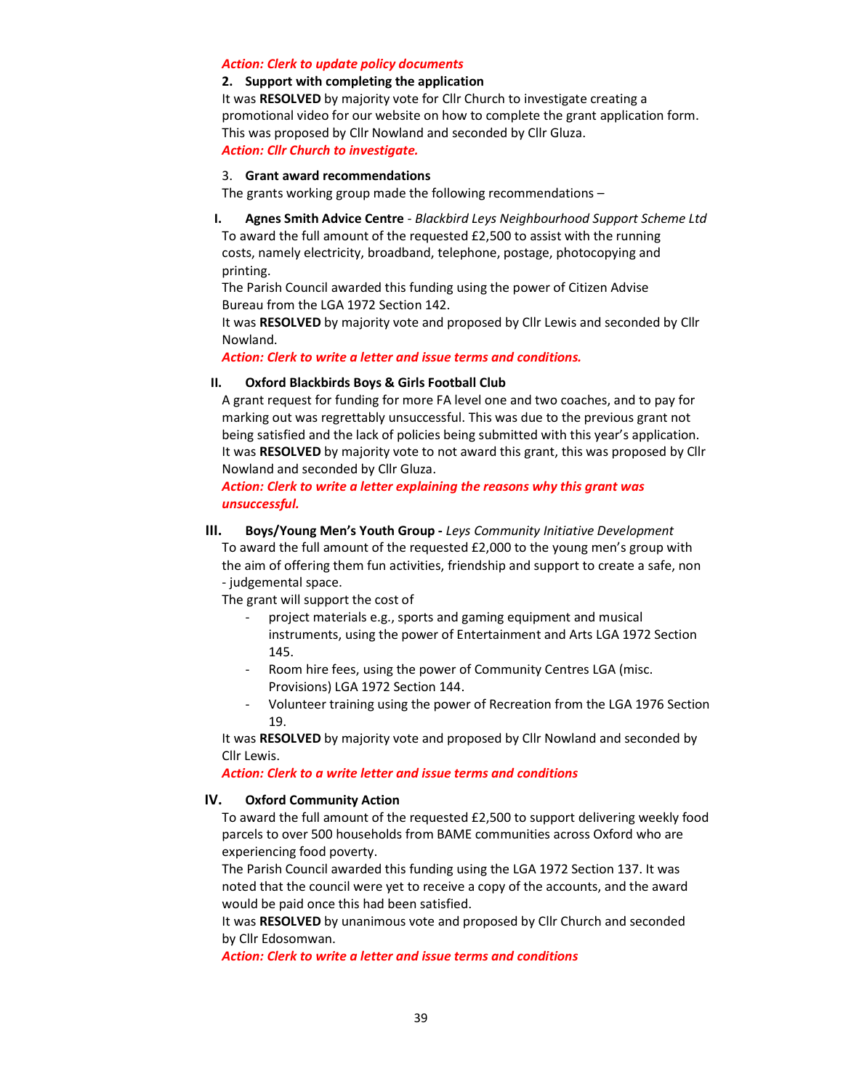#### Action: Clerk to update policy documents

#### 2. Support with completing the application

It was RESOLVED by majority vote for Cllr Church to investigate creating a promotional video for our website on how to complete the grant application form. This was proposed by Cllr Nowland and seconded by Cllr Gluza. Action: Cllr Church to investigate.

### 3. Grant award recommendations

The grants working group made the following recommendations –

I. Agnes Smith Advice Centre - Blackbird Leys Neighbourhood Support Scheme Ltd To award the full amount of the requested £2,500 to assist with the running costs, namely electricity, broadband, telephone, postage, photocopying and printing.

 The Parish Council awarded this funding using the power of Citizen Advise Bureau from the LGA 1972 Section 142.

It was RESOLVED by majority vote and proposed by Cllr Lewis and seconded by Cllr Nowland.

Action: Clerk to write a letter and issue terms and conditions.

## II. Oxford Blackbirds Boys & Girls Football Club

A grant request for funding for more FA level one and two coaches, and to pay for marking out was regrettably unsuccessful. This was due to the previous grant not being satisfied and the lack of policies being submitted with this year's application. It was RESOLVED by majority vote to not award this grant, this was proposed by Cllr Nowland and seconded by Cllr Gluza.

Action: Clerk to write a letter explaining the reasons why this grant was unsuccessful.

III. Boys/Young Men's Youth Group - Leys Community Initiative Development

To award the full amount of the requested £2,000 to the young men's group with the aim of offering them fun activities, friendship and support to create a safe, non - judgemental space.

The grant will support the cost of

- project materials e.g., sports and gaming equipment and musical instruments, using the power of Entertainment and Arts LGA 1972 Section 145.
- Room hire fees, using the power of Community Centres LGA (misc. Provisions) LGA 1972 Section 144.
- Volunteer training using the power of Recreation from the LGA 1976 Section 19.

It was RESOLVED by majority vote and proposed by Cllr Nowland and seconded by Cllr Lewis.

#### Action: Clerk to a write letter and issue terms and conditions

#### IV. Oxford Community Action

To award the full amount of the requested £2,500 to support delivering weekly food parcels to over 500 households from BAME communities across Oxford who are experiencing food poverty.

The Parish Council awarded this funding using the LGA 1972 Section 137. It was noted that the council were yet to receive a copy of the accounts, and the award would be paid once this had been satisfied.

It was RESOLVED by unanimous vote and proposed by Cllr Church and seconded by Cllr Edosomwan.

Action: Clerk to write a letter and issue terms and conditions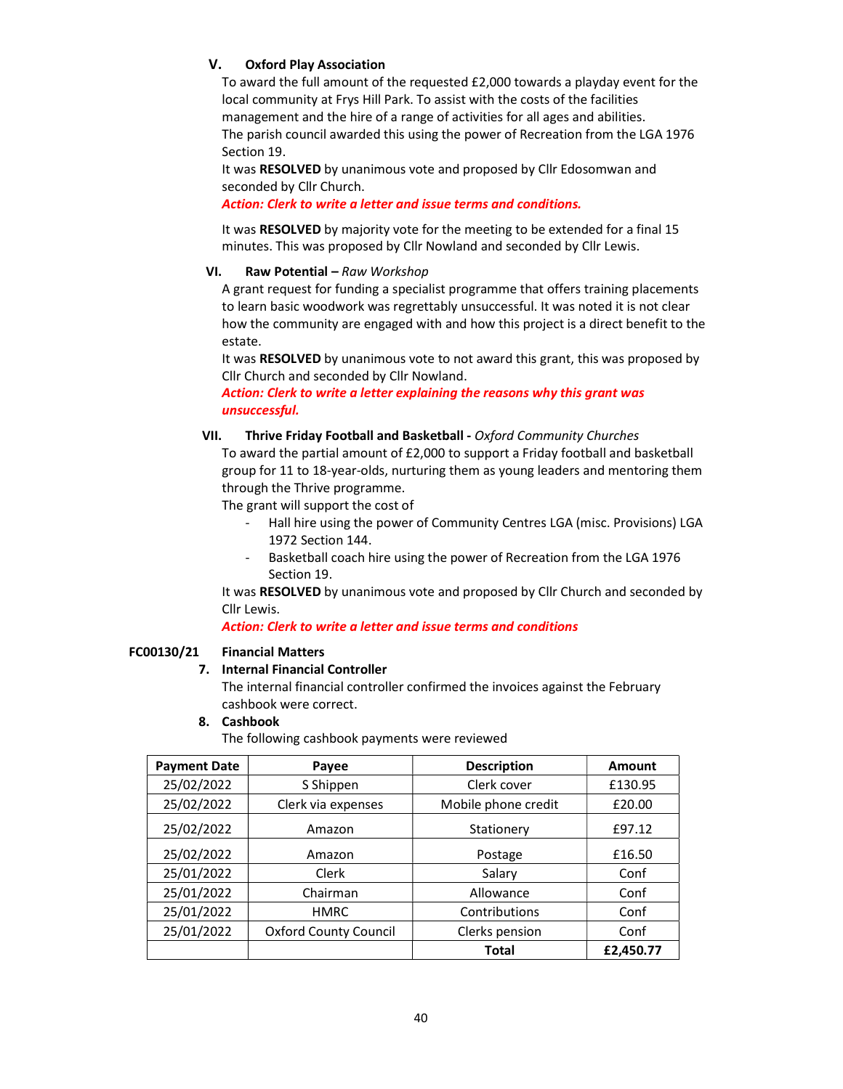# V. Oxford Play Association

To award the full amount of the requested £2,000 towards a playday event for the local community at Frys Hill Park. To assist with the costs of the facilities management and the hire of a range of activities for all ages and abilities. The parish council awarded this using the power of Recreation from the LGA 1976 Section 19.

It was RESOLVED by unanimous vote and proposed by Cllr Edosomwan and seconded by Cllr Church.

Action: Clerk to write a letter and issue terms and conditions.

It was RESOLVED by majority vote for the meeting to be extended for a final 15 minutes. This was proposed by Cllr Nowland and seconded by Cllr Lewis.

# VI. Raw Potential – Raw Workshop

A grant request for funding a specialist programme that offers training placements to learn basic woodwork was regrettably unsuccessful. It was noted it is not clear how the community are engaged with and how this project is a direct benefit to the estate.

It was RESOLVED by unanimous vote to not award this grant, this was proposed by Cllr Church and seconded by Cllr Nowland.

Action: Clerk to write a letter explaining the reasons why this grant was unsuccessful.

# VII. Thrive Friday Football and Basketball - Oxford Community Churches

To award the partial amount of £2,000 to support a Friday football and basketball group for 11 to 18-year-olds, nurturing them as young leaders and mentoring them through the Thrive programme.

The grant will support the cost of

- Hall hire using the power of Community Centres LGA (misc. Provisions) LGA 1972 Section 144.
- Basketball coach hire using the power of Recreation from the LGA 1976 Section 19.

It was RESOLVED by unanimous vote and proposed by Cllr Church and seconded by Cllr Lewis.

# Action: Clerk to write a letter and issue terms and conditions

## FC00130/21 Financial Matters

## 7. Internal Financial Controller

The internal financial controller confirmed the invoices against the February cashbook were correct.

## 8. Cashbook

The following cashbook payments were reviewed

| <b>Payment Date</b> | Payee                        | <b>Description</b>  | Amount    |
|---------------------|------------------------------|---------------------|-----------|
| 25/02/2022          | S Shippen                    | Clerk cover         | £130.95   |
| 25/02/2022          | Clerk via expenses           | Mobile phone credit | £20.00    |
| 25/02/2022          | Amazon                       | Stationery          | £97.12    |
| 25/02/2022          | Amazon                       | Postage             | £16.50    |
| 25/01/2022          | Clerk                        | Salary              | Conf      |
| 25/01/2022          | Chairman                     | Allowance           | Conf      |
| 25/01/2022          | <b>HMRC</b>                  | Contributions       | Conf      |
| 25/01/2022          | <b>Oxford County Council</b> | Clerks pension      | Conf      |
|                     |                              | <b>Total</b>        | £2,450.77 |